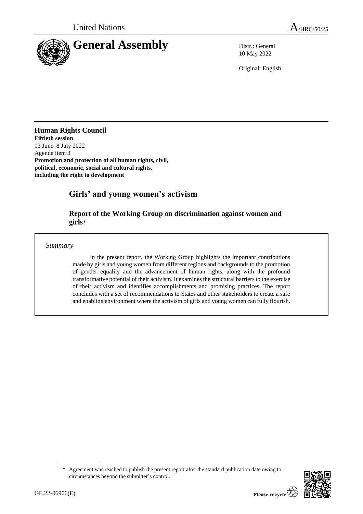

10 May 2022

Original: English

# **Human Rights Council**

**Fiftieth session** 13 June–8 July 2022 Agenda item 3 **Promotion and protection of all human rights, civil, political, economic, social and cultural rights, including the right to development**

# **Girls' and young women's activism**

# **Report of the Working Group on discrimination against women and girls**\*

# *Summary*

In the present report, the Working Group highlights the important contributions made by girls and young women from different regions and backgrounds to the promotion of gender equality and the advancement of human rights, along with the profound transformative potential of their activism. It examines the structural barriers to the exercise of their activism and identifies accomplishments and promising practices. The report concludes with a set of recommendations to States and other stakeholders to create a safe and enabling environment where the activism of girls and young women can fully flourish.

<sup>\*</sup> Agreement was reached to publish the present report after the standard publication date owing to circumstances beyond the submitter's control.

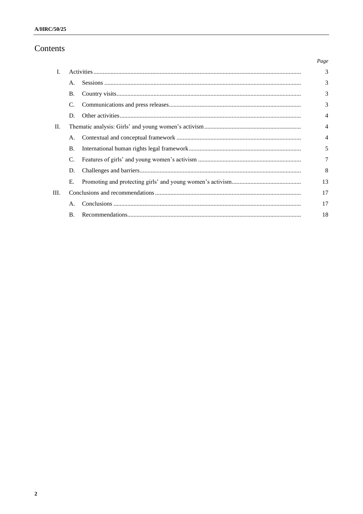# Contents

|                |                |  | Page           |
|----------------|----------------|--|----------------|
| $\mathbf{I}$ . |                |  | 3              |
|                | $\mathsf{A}$ . |  | 3              |
|                | <b>B.</b>      |  | 3              |
|                | C.             |  | 3              |
|                | D.             |  | 4              |
| $\Pi$ .        |                |  | $\overline{4}$ |
|                | А.             |  | $\overline{4}$ |
|                | Β.             |  | 5              |
|                | C.             |  | 7              |
|                | D.             |  | 8              |
|                | Е.             |  | 13             |
| III.           |                |  | 17             |
|                | А.             |  | 17             |
|                | <b>B.</b>      |  | 18             |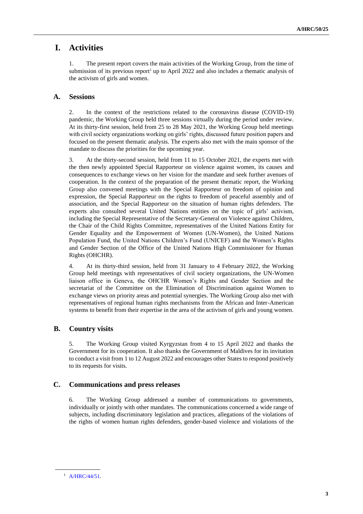# **I. Activities**

1. The present report covers the main activities of the Working Group, from the time of submission of its previous report<sup>1</sup> up to April 2022 and also includes a thematic analysis of the activism of girls and women.

# **A. Sessions**

2. In the context of the restrictions related to the coronavirus disease (COVID-19) pandemic, the Working Group held three sessions virtually during the period under review. At its thirty-first session, held from 25 to 28 May 2021, the Working Group held meetings with civil society organizations working on girls' rights, discussed future position papers and focused on the present thematic analysis. The experts also met with the main sponsor of the mandate to discuss the priorities for the upcoming year.

3. At the thirty-second session, held from 11 to 15 October 2021, the experts met with the then newly appointed Special Rapporteur on violence against women, its causes and consequences to exchange views on her vision for the mandate and seek further avenues of cooperation. In the context of the preparation of the present thematic report, the Working Group also convened meetings with the Special Rapporteur on freedom of opinion and expression, the Special Rapporteur on the rights to freedom of peaceful assembly and of association, and the Special Rapporteur on the situation of human rights defenders. The experts also consulted several United Nations entities on the topic of girls' activism, including the Special Representative of the Secretary-General on Violence against Children, the Chair of the Child Rights Committee, representatives of the United Nations Entity for Gender Equality and the Empowerment of Women (UN-Women), the United Nations Population Fund, the United Nations Children's Fund (UNICEF) and the Women's Rights and Gender Section of the Office of the United Nations High Commissioner for Human Rights (OHCHR).

4. At its thirty-third session, held from 31 January to 4 February 2022, the Working Group held meetings with representatives of civil society organizations, the UN-Women liaison office in Geneva, the OHCHR Women's Rights and Gender Section and the secretariat of the Committee on the Elimination of Discrimination against Women to exchange views on priority areas and potential synergies. The Working Group also met with representatives of regional human rights mechanisms from the African and Inter-American systems to benefit from their expertise in the area of the activism of girls and young women.

# **B. Country visits**

5. The Working Group visited Kyrgyzstan from 4 to 15 April 2022 and thanks the Government for its cooperation. It also thanks the Government of Maldives for its invitation to conduct a visit from 1 to 12 August 2022 and encourages other States to respond positively to its requests for visits.

# **C. Communications and press releases**

6. The Working Group addressed a number of communications to governments, individually or jointly with other mandates. The communications concerned a wide range of subjects, including discriminatory legislation and practices, allegations of the violations of the rights of women human rights defenders, gender-based violence and violations of the

<sup>1</sup> [A/HRC/44/51.](https://undocs.org/en/A/HRC/44/51)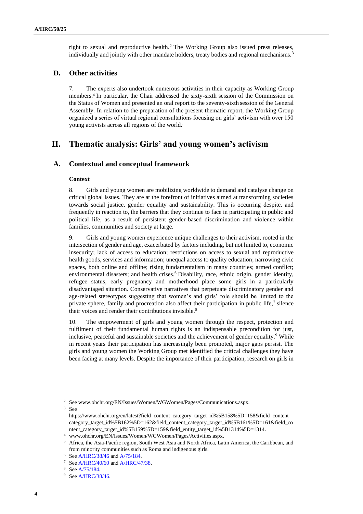right to sexual and reproductive health.<sup>2</sup> The Working Group also issued press releases, individually and jointly with other mandate holders, treaty bodies and regional mechanisms.<sup>3</sup>

## **D. Other activities**

7. The experts also undertook numerous activities in their capacity as Working Group members.<sup>4</sup> In particular, the Chair addressed the sixty-sixth session of the Commission on the Status of Women and presented an oral report to the seventy-sixth session of the General Assembly. In relation to the preparation of the present thematic report, the Working Group organized a series of virtual regional consultations focusing on girls' activism with over 150 young activists across all regions of the world.<sup>5</sup>

# **II. Thematic analysis: Girls' and young women's activism**

## **A. Contextual and conceptual framework**

### **Context**

8. Girls and young women are mobilizing worldwide to demand and catalyse change on critical global issues. They are at the forefront of initiatives aimed at transforming societies towards social justice, gender equality and sustainability. This is occurring despite, and frequently in reaction to, the barriers that they continue to face in participating in public and political life, as a result of persistent gender-based discrimination and violence within families, communities and society at large.

9. Girls and young women experience unique challenges to their activism, rooted in the intersection of gender and age, exacerbated by factors including, but not limited to, economic insecurity; lack of access to education; restrictions on access to sexual and reproductive health goods, services and information; unequal access to quality education; narrowing civic spaces, both online and offline; rising fundamentalism in many countries; armed conflict; environmental disasters; and health crises.<sup>6</sup> Disability, race, ethnic origin, gender identity, refugee status, early pregnancy and motherhood place some girls in a particularly disadvantaged situation. Conservative narratives that perpetuate discriminatory gender and age-related stereotypes suggesting that women's and girls' role should be limited to the private sphere, family and procreation also affect their participation in public life, $\frac{7}{1}$  silence their voices and render their contributions invisible.<sup>8</sup>

10. The empowerment of girls and young women through the respect, protection and fulfilment of their fundamental human rights is an indispensable precondition for just, inclusive, peaceful and sustainable societies and the achievement of gender equality.<sup>9</sup> While in recent years their participation has increasingly been promoted, major gaps persist. The girls and young women the Working Group met identified the critical challenges they have been facing at many levels. Despite the importance of their participation, research on girls in

<sup>3</sup> See

<sup>2</sup> See www.ohchr.org/EN/Issues/Women/WGWomen/Pages/Communications.aspx.

https://www.ohchr.org/en/latest?field\_content\_category\_target\_id%5B158%5D=158&field\_content\_ category\_target\_id%5B162%5D=162&field\_content\_category\_target\_id%5B161%5D=161&field\_co ntent\_category\_target\_id%5B159%5D=159&field\_entity\_target\_id%5B1314%5D=1314.

<sup>4</sup> www.ohchr.org/EN/Issues/Women/WGWomen/Pages/Activities.aspx.

<sup>5</sup> Africa, the Asia-Pacific region, South West Asia and North Africa, Latin America, the Caribbean, and from minority communities such as Roma and indigenous girls.

<sup>6</sup> Se[e A/HRC/38/46](https://undocs.org/en/A/HRC/38/46) and [A/75/184.](https://undocs.org/en/A/75/184)

<sup>7</sup> Se[e A/HRC/40/60](https://undocs.org/en/A/HRC/40/60) and [A/HRC/47/38.](https://undocs.org/en/A/HRC/47/38)

<sup>8</sup> Se[e A/75/184.](https://undocs.org/en/A/75/184)

<sup>&</sup>lt;sup>9</sup> Se[e A/HRC/38/46.](https://undocs.org/en/A/HRC/38/46)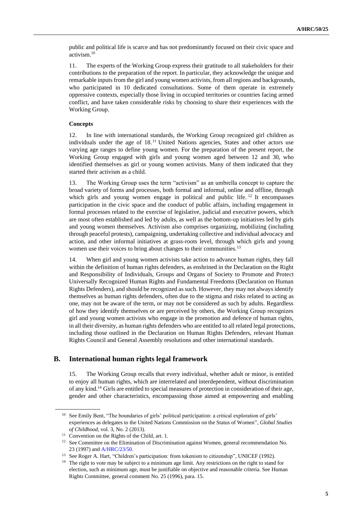public and political life is scarce and has not predominantly focused on their civic space and activism.<sup>10</sup>

11. The experts of the Working Group express their gratitude to all stakeholders for their contributions to the preparation of the report. In particular, they acknowledge the unique and remarkable inputs from the girl and young women activists, from all regions and backgrounds, who participated in 10 dedicated consultations. Some of them operate in extremely oppressive contexts, especially those living in occupied territories or countries facing armed conflict, and have taken considerable risks by choosing to share their experiences with the Working Group.

### **Concepts**

12. In line with international standards, the Working Group recognized girl children as individuals under the age of 18.<sup>11</sup> United Nations agencies, States and other actors use varying age ranges to define young women. For the preparation of the present report, the Working Group engaged with girls and young women aged between 12 and 30, who identified themselves as girl or young women activists. Many of them indicated that they started their activism as a child.

13. The Working Group uses the term "activism" as an umbrella concept to capture the broad variety of forms and processes, both formal and informal, online and offline, through which girls and young women engage in political and public life.<sup>12</sup> It encompasses participation in the civic space and the conduct of public affairs, including engagement in formal processes related to the exercise of legislative, judicial and executive powers, which are most often established and led by adults, as well as the bottom-up initiatives led by girls and young women themselves. Activism also comprises organizing, mobilizing (including through peaceful protests), campaigning, undertaking collective and individual advocacy and action, and other informal initiatives at grass-roots level, through which girls and young women use their voices to bring about changes to their communities.<sup>13</sup>

14. When girl and young women activists take action to advance human rights, they fall within the definition of human rights defenders, as enshrined in the Declaration on the Right and Responsibility of Individuals, Groups and Organs of Society to Promote and Protect Universally Recognized Human Rights and Fundamental Freedoms (Declaration on Human Rights Defenders), and should be recognized as such. However, they may not always identify themselves as human rights defenders, often due to the stigma and risks related to acting as one, may not be aware of the term, or may not be considered as such by adults. Regardless of how they identify themselves or are perceived by others, the Working Group recognizes girl and young women activists who engage in the promotion and defence of human rights, in all their diversity, as human rights defenders who are entitled to all related legal protections, including those outlined in the Declaration on Human Rights Defenders, relevant Human Rights Council and General Assembly resolutions and other international standards.

## **B. International human rights legal framework**

15. The Working Group recalls that every individual, whether adult or minor, is entitled to enjoy all human rights, which are interrelated and interdependent, without discrimination of any kind.<sup>14</sup> Girls are entitled to special measures of protection in consideration of their age, gender and other characteristics, encompassing those aimed at empowering and enabling

<sup>&</sup>lt;sup>10</sup> See Emily Bent, "The boundaries of girls' political participation: a critical exploration of girls' experiences as delegates to the United Nations Commission on the Status of Women", *Global Studies of Childhood*, vol. 3, No. 2 (2013).

<sup>&</sup>lt;sup>11</sup> Convention on the Rights of the Child, art. 1.

<sup>&</sup>lt;sup>12</sup> See Committee on the Elimination of Discrimination against Women, general recommendation No. 23 (1997) and [A/HRC/23/50.](https://undocs.org/en/A/HRC/23/50)

<sup>&</sup>lt;sup>13</sup> See Roger A. Hart, "Children's participation: from tokenism to citizenship", UNICEF (1992).

<sup>&</sup>lt;sup>14</sup> The right to vote may be subject to a minimum age limit. Any restrictions on the right to stand for election, such as minimum age, must be justifiable on objective and reasonable criteria. See Human Rights Committee, general comment No. 25 (1996), para. 15.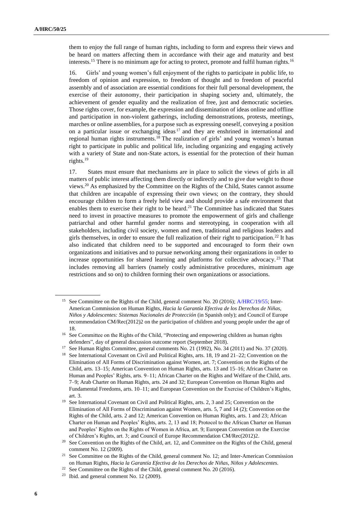them to enjoy the full range of human rights, including to form and express their views and be heard on matters affecting them in accordance with their age and maturity and best interests.<sup>15</sup> There is no minimum age for acting to protect, promote and fulfil human rights.<sup>16</sup>

16. Girls' and young women's full enjoyment of the rights to participate in public life, to freedom of opinion and expression, to freedom of thought and to freedom of peaceful assembly and of association are essential conditions for their full personal development, the exercise of their autonomy, their participation in shaping society and, ultimately, the achievement of gender equality and the realization of free, just and democratic societies. Those rights cover, for example, the expression and dissemination of ideas online and offline and participation in non-violent gatherings, including demonstrations, protests, meetings, marches or online assemblies, for a purpose such as expressing oneself, conveying a position on a particular issue or exchanging ideas<sup>17</sup> and they are enshrined in international and regional human rights instruments.<sup>18</sup> The realization of girls' and young women's human right to participate in public and political life, including organizing and engaging actively with a variety of State and non-State actors, is essential for the protection of their human rights.<sup>19</sup>

17. States must ensure that mechanisms are in place to solicit the views of girls in all matters of public interest affecting them directly or indirectly and to give due weight to those views.<sup>20</sup> As emphasized by the Committee on the Rights of the Child, States cannot assume that children are incapable of expressing their own views; on the contrary, they should encourage children to form a freely held view and should provide a safe environment that enables them to exercise their right to be heard.<sup>21</sup> The Committee has indicated that States need to invest in proactive measures to promote the empowerment of girls and challenge patriarchal and other harmful gender norms and stereotyping, in cooperation with all stakeholders, including civil society, women and men, traditional and religious leaders and girls themselves, in order to ensure the full realization of their right to participation.<sup>22</sup> It has also indicated that children need to be supported and encouraged to form their own organizations and initiatives and to pursue networking among their organizations in order to increase opportunities for shared learning and platforms for collective advocacy. <sup>23</sup> That includes removing all barriers (namely costly administrative procedures, minimum age restrictions and so on) to children forming their own organizations or associations.

<sup>&</sup>lt;sup>15</sup> See Committee on the Rights of the Child, general comment No. 20 (2016)[; A/HRC/19/55;](https://undocs.org/en/A/HRC/19/55) Inter-American Commission on Human Rights, *Hacia la Garantía Efectiva de los Derechos de Niñas, Niños y Adolescentes: Sistemas Nacionales de Protección* (in Spanish only); and Council of Europe recommendation CM/Rec(2012)2 on the participation of children and young people under the age of 18.

<sup>&</sup>lt;sup>16</sup> See Committee on the Rights of the Child, "Protecting and empowering children as human rights defenders", day of general discussion outcome report (September 2018).

<sup>&</sup>lt;sup>17</sup> See Human Rights Committee, general comments No. 21 (1992), No. 34 (2011) and No. 37 (2020).

<sup>&</sup>lt;sup>18</sup> See International Covenant on Civil and Political Rights, arts. 18, 19 and 21–22; Convention on the Elimination of All Forms of Discrimination against Women, art. 7; Convention on the Rights of the Child, arts. 13–15; American Convention on Human Rights, arts. 13 and 15–16; African Charter on Human and Peoples' Rights, arts. 9–11; African Charter on the Rights and Welfare of the Child, arts. 7–9; Arab Charter on Human Rights, arts. 24 and 32; European Convention on Human Rights and Fundamental Freedoms, arts. 10–11; and European Convention on the Exercise of Children's Rights, art. 3.

<sup>&</sup>lt;sup>19</sup> See International Covenant on Civil and Political Rights, arts. 2, 3 and 25; Convention on the Elimination of All Forms of Discrimination against Women, arts. 5, 7 and 14 (2); Convention on the Rights of the Child, arts. 2 and 12; American Convention on Human Rights, arts. 1 and 23; African Charter on Human and Peoples' Rights, arts. 2, 13 and 18; Protocol to the African Charter on Human and Peoples' Rights on the Rights of Women in Africa, art. 9; European Convention on the Exercise of Children's Rights, art. 3; and Council of Europe Recommendation CM/Rec(2012)2.

<sup>&</sup>lt;sup>20</sup> See Convention on the Rights of the Child, art. 12, and Committee on the Rights of the Child, general comment No. 12 (2009).

<sup>&</sup>lt;sup>21</sup> See Committee on the Rights of the Child, general comment No. 12; and Inter-American Commission on Human Rights, *Hacia la Garantía Efectiva de los Derechos de Niñas, Niños y Adolescentes.*

See Committee on the Rights of the Child, general comment No. 20 (2016).

 $23$  Ibid. and general comment No. 12 (2009).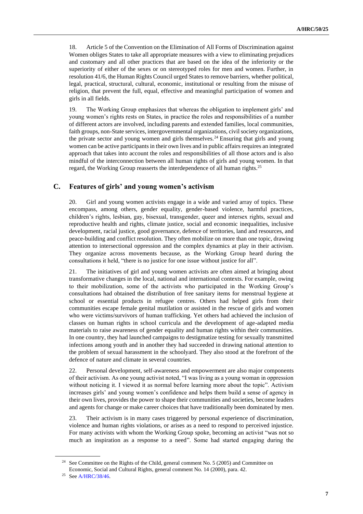18. Article 5 of the Convention on the Elimination of All Forms of Discrimination against Women obliges States to take all appropriate measures with a view to eliminating prejudices and customary and all other practices that are based on the idea of the inferiority or the superiority of either of the sexes or on stereotyped roles for men and women. Further, in resolution 41/6, the Human Rights Council urged States to remove barriers, whether political, legal, practical, structural, cultural, economic, institutional or resulting from the misuse of religion, that prevent the full, equal, effective and meaningful participation of women and girls in all fields.

19. The Working Group emphasizes that whereas the obligation to implement girls' and young women's rights rests on States, in practice the roles and responsibilities of a number of different actors are involved, including parents and extended families, local communities, faith groups, non-State services, intergovernmental organizations, civil society organizations, the private sector and young women and girls themselves.<sup>24</sup> Ensuring that girls and young women can be active participants in their own lives and in public affairs requires an integrated approach that takes into account the roles and responsibilities of all those actors and is also mindful of the interconnection between all human rights of girls and young women. In that regard, the Working Group reasserts the interdependence of all human rights.<sup>25</sup>

# **C. Features of girls' and young women's activism**

20. Girl and young women activists engage in a wide and varied array of topics. These encompass, among others, gender equality, gender-based violence, harmful practices, children's rights, lesbian, gay, bisexual, transgender, queer and intersex rights, sexual and reproductive health and rights, climate justice, social and economic inequalities, inclusive development, racial justice, good governance, defence of territories, land and resources, and peace-building and conflict resolution. They often mobilize on more than one topic, drawing attention to intersectional oppression and the complex dynamics at play in their activism. They organize across movements because, as the Working Group heard during the consultations it held, "there is no justice for one issue without justice for all".

21. The initiatives of girl and young women activists are often aimed at bringing about transformative changes in the local, national and international contexts. For example, owing to their mobilization, some of the activists who participated in the Working Group's consultations had obtained the distribution of free sanitary items for menstrual hygiene at school or essential products in refugee centres. Others had helped girls from their communities escape female genital mutilation or assisted in the rescue of girls and women who were victims/survivors of human trafficking. Yet others had achieved the inclusion of classes on human rights in school curricula and the development of age-adapted media materials to raise awareness of gender equality and human rights within their communities. In one country, they had launched campaigns to destigmatize testing for sexually transmitted infections among youth and in another they had succeeded in drawing national attention to the problem of sexual harassment in the schoolyard. They also stood at the forefront of the defence of nature and climate in several countries.

22. Personal development, self-awareness and empowerment are also major components of their activism. As one young activist noted, "I was living as a young woman in oppression without noticing it. I viewed it as normal before learning more about the topic". Activism increases girls' and young women's confidence and helps them build a sense of agency in their own lives, provides the power to shape their communities and societies, become leaders and agents for change or make career choices that have traditionally been dominated by men.

23. Their activism is in many cases triggered by personal experience of discrimination, violence and human rights violations, or arises as a need to respond to perceived injustice. For many activists with whom the Working Group spoke, becoming an activist "was not so much an inspiration as a response to a need". Some had started engaging during the

<sup>&</sup>lt;sup>24</sup> See Committee on the Rights of the Child, general comment No. 5 (2005) and Committee on Economic, Social and Cultural Rights, general comment No. 14 (2000), para. 42.

<sup>25</sup> Se[e A/HRC/38/46.](https://undocs.org/en/A/HRC/38/46)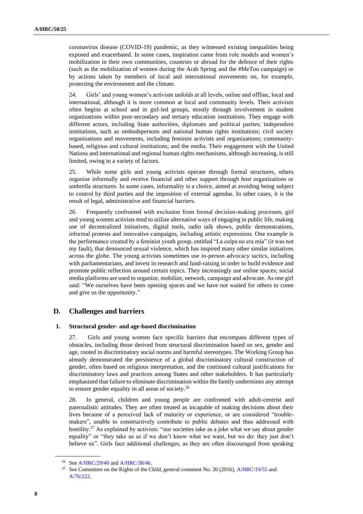coronavirus disease (COVID-19) pandemic, as they witnessed existing inequalities being exposed and exacerbated. In some cases, inspiration came from role models and women's mobilization in their own communities, countries or abroad for the defence of their rights (such as the mobilization of women during the Arab Spring and the #MeToo campaign) or by actions taken by members of local and international movements on, for example, protecting the environment and the climate.

24. Girls' and young women's activism unfolds at all levels, online and offline, local and international, although it is more common at local and community levels. Their activism often begins at school and in girl-led groups, mostly through involvement in student organizations within post-secondary and tertiary education institutions. They engage with different actors, including State authorities, diplomats and political parties; independent institutions, such as ombudspersons and national human rights institutions; civil society organizations and movements, including feminist activists and organizations; communitybased, religious and cultural institutions; and the media. Their engagement with the United Nations and international and regional human rights mechanisms, although increasing, is still limited, owing to a variety of factors.

25. While some girls and young activists operate through formal structures, others organize informally and receive financial and other support through host organizations or umbrella structures. In some cases, informality is a choice, aimed at avoiding being subject to control by third parties and the imposition of external agendas. In other cases, it is the result of legal, administrative and financial barriers.

26. Frequently confronted with exclusion from formal decision-making processes, girl and young women activists tend to utilize alternative ways of engaging in public life, making use of decentralized initiatives, digital tools, radio talk shows, public demonstrations, informal protests and innovative campaigns, including artistic expressions. One example is the performance created by a feminist youth group, entitled "La culpa no era mía" (it was not my fault), that denounced sexual violence, which has inspired many other similar initiatives across the globe. The young activists sometimes use in-person advocacy tactics, including with parliamentarians, and invest in research and fund-raising in order to build evidence and promote public reflection around certain topics. They increasingly use online spaces; social media platforms are used to organize, mobilize, network, campaign and advocate. As one girl said: "We ourselves have been opening spaces and we have not waited for others to come and give us the opportunity."

## **D. Challenges and barriers**

#### **1. Structural gender- and age-based discrimination**

27. Girls and young women face specific barriers that encompass different types of obstacles, including those derived from structural discrimination based on sex, gender and age, rooted in discriminatory social norms and harmful stereotypes. The Working Group has already demonstrated the persistence of a global discriminatory cultural construction of gender, often based on religious interpretation, and the continued cultural justifications for discriminatory laws and practices among States and other stakeholders. It has particularly emphasized that failure to eliminate discrimination within the family undermines any attempt to ensure gender equality in all areas of society.<sup>26</sup>

28. In general, children and young people are confronted with adult-centrist and paternalistic attitudes. They are often treated as incapable of making decisions about their lives because of a perceived lack of maturity or experience, or are considered "troublemakers", unable to constructively contribute to public debates and thus addressed with hostility.<sup>27</sup> As explained by activists: "our societies take as a joke what we say about gender equality" or "they take us as if we don't know what we want, but we do: they just don't believe us". Girls face additional challenges, as they are often discouraged from speaking

<sup>&</sup>lt;sup>26</sup> Se[e A/HRC/29/40](https://undocs.org/en/A/HRC/29/40) an[d A/HRC/38/46.](https://undocs.org/en/A/HRC/38/46)

<sup>&</sup>lt;sup>27</sup> See Committee on the Rights of the Child, general comment No. 20 (2016),  $A/HRC/19/55$  and [A/76/222.](https://undocs.org/en/A/76/222)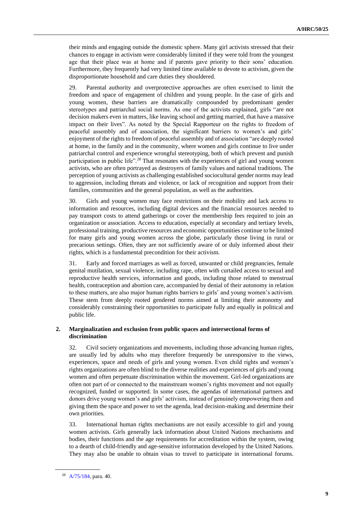their minds and engaging outside the domestic sphere. Many girl activists stressed that their chances to engage in activism were considerably limited if they were told from the youngest age that their place was at home and if parents gave priority to their sons' education. Furthermore, they frequently had very limited time available to devote to activism, given the disproportionate household and care duties they shouldered.

29. Parental authority and overprotective approaches are often exercised to limit the freedom and space of engagement of children and young people. In the case of girls and young women, these barriers are dramatically compounded by predominant gender stereotypes and patriarchal social norms. As one of the activists explained, girls "are not decision makers even in matters, like leaving school and getting married, that have a massive impact on their lives". As noted by the Special Rapporteur on the rights to freedom of peaceful assembly and of association, the significant barriers to women's and girls' enjoyment of the rights to freedom of peaceful assembly and of association "are deeply rooted at home, in the family and in the community, where women and girls continue to live under patriarchal control and experience wrongful stereotyping, both of which prevent and punish participation in public life".<sup>28</sup> That resonates with the experiences of girl and young women activists, who are often portrayed as destroyers of family values and national traditions. The perception of young activists as challenging established sociocultural gender norms may lead to aggression, including threats and violence, or lack of recognition and support from their families, communities and the general population, as well as the authorities.

30. Girls and young women may face restrictions on their mobility and lack access to information and resources, including digital devices and the financial resources needed to pay transport costs to attend gatherings or cover the membership fees required to join an organization or association. Access to education, especially at secondary and tertiary levels, professional training, productive resources and economic opportunities continue to be limited for many girls and young women across the globe, particularly those living in rural or precarious settings. Often, they are not sufficiently aware of or duly informed about their rights, which is a fundamental precondition for their activism.

31. Early and forced marriages as well as forced, unwanted or child pregnancies, female genital mutilation, sexual violence, including rape, often with curtailed access to sexual and reproductive health services, information and goods, including those related to menstrual health, contraception and abortion care, accompanied by denial of their autonomy in relation to these matters, are also major human rights barriers to girls' and young women's activism. These stem from deeply rooted gendered norms aimed at limiting their autonomy and considerably constraining their opportunities to participate fully and equally in political and public life.

## **2. Marginalization and exclusion from public spaces and intersectional forms of discrimination**

32. Civil society organizations and movements, including those advancing human rights, are usually led by adults who may therefore frequently be unresponsive to the views, experiences, space and needs of girls and young women. Even child rights and women's rights organizations are often blind to the diverse realities and experiences of girls and young women and often perpetuate discrimination within the movement. Girl-led organizations are often not part of or connected to the mainstream women's rights movement and not equally recognized, funded or supported. In some cases, the agendas of international partners and donors drive young women's and girls' activism, instead of genuinely empowering them and giving them the space and power to set the agenda, lead decision-making and determine their own priorities.

33. International human rights mechanisms are not easily accessible to girl and young women activists. Girls generally lack information about United Nations mechanisms and bodies, their functions and the age requirements for accreditation within the system, owing to a dearth of child-friendly and age-sensitive information developed by the United Nations. They may also be unable to obtain visas to travel to participate in international forums.

<sup>28</sup> [A/75/184,](https://undocs.org/en/A/75/184) para. 40.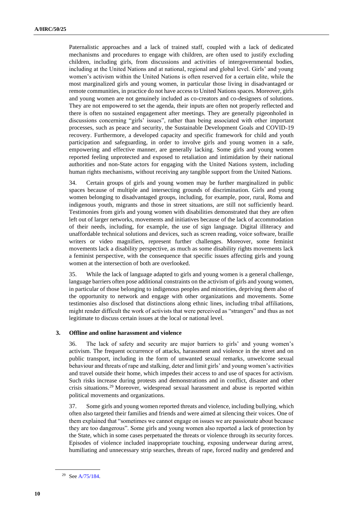Paternalistic approaches and a lack of trained staff, coupled with a lack of dedicated mechanisms and procedures to engage with children, are often used to justify excluding children, including girls, from discussions and activities of intergovernmental bodies, including at the United Nations and at national, regional and global level. Girls' and young women's activism within the United Nations is often reserved for a certain elite, while the most marginalized girls and young women, in particular those living in disadvantaged or remote communities, in practice do not have access to United Nations spaces. Moreover, girls and young women are not genuinely included as co-creators and co-designers of solutions. They are not empowered to set the agenda, their inputs are often not properly reflected and there is often no sustained engagement after meetings. They are generally pigeonholed in discussions concerning "girls' issues", rather than being associated with other important processes, such as peace and security, the Sustainable Development Goals and COVID-19 recovery. Furthermore, a developed capacity and specific framework for child and youth participation and safeguarding, in order to involve girls and young women in a safe, empowering and effective manner, are generally lacking. Some girls and young women reported feeling unprotected and exposed to retaliation and intimidation by their national authorities and non-State actors for engaging with the United Nations system, including human rights mechanisms, without receiving any tangible support from the United Nations.

34. Certain groups of girls and young women may be further marginalized in public spaces because of multiple and intersecting grounds of discrimination. Girls and young women belonging to disadvantaged groups, including, for example, poor, rural, Roma and indigenous youth, migrants and those in street situations, are still not sufficiently heard. Testimonies from girls and young women with disabilities demonstrated that they are often left out of larger networks, movements and initiatives because of the lack of accommodation of their needs, including, for example, the use of sign language. Digital illiteracy and unaffordable technical solutions and devices, such as screen reading, voice software, braille writers or video magnifiers, represent further challenges. Moreover, some feminist movements lack a disability perspective, as much as some disability rights movements lack a feminist perspective, with the consequence that specific issues affecting girls and young women at the intersection of both are overlooked.

35. While the lack of language adapted to girls and young women is a general challenge, language barriers often pose additional constraints on the activism of girls and young women, in particular of those belonging to indigenous peoples and minorities, depriving them also of the opportunity to network and engage with other organizations and movements. Some testimonies also disclosed that distinctions along ethnic lines, including tribal affiliations, might render difficult the work of activists that were perceived as "strangers" and thus as not legitimate to discuss certain issues at the local or national level.

### **3. Offline and online harassment and violence**

36. The lack of safety and security are major barriers to girls' and young women's activism. The frequent occurrence of attacks, harassment and violence in the street and on public transport, including in the form of unwanted sexual remarks, unwelcome sexual behaviour and threats of rape and stalking, deter and limit girls' and young women's activities and travel outside their home, which impedes their access to and use of spaces for activism. Such risks increase during protests and demonstrations and in conflict, disaster and other crisis situations.<sup>29</sup> Moreover, widespread sexual harassment and abuse is reported within political movements and organizations.

37. Some girls and young women reported threats and violence, including bullying, which often also targeted their families and friends and were aimed at silencing their voices. One of them explained that "sometimes we cannot engage on issues we are passionate about because they are too dangerous". Some girls and young women also reported a lack of protection by the State, which in some cases perpetuated the threats or violence through its security forces. Episodes of violence included inappropriate touching, exposing underwear during arrest, humiliating and unnecessary strip searches, threats of rape, forced nudity and gendered and

<sup>29</sup> Se[e A/75/184.](https://undocs.org/en/A/75/184)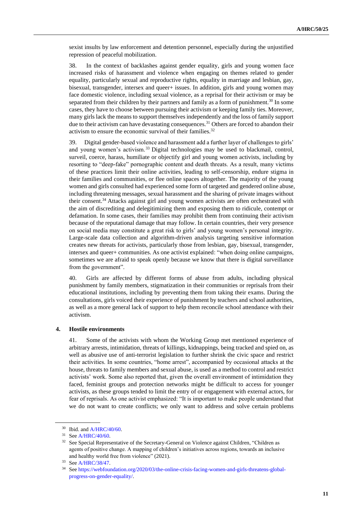sexist insults by law enforcement and detention personnel, especially during the unjustified repression of peaceful mobilization.

38. In the context of backlashes against gender equality, girls and young women face increased risks of harassment and violence when engaging on themes related to gender equality, particularly sexual and reproductive rights, equality in marriage and lesbian, gay, bisexual, transgender, intersex and queer+ issues. In addition, girls and young women may face domestic violence, including sexual violence, as a reprisal for their activism or may be separated from their children by their partners and family as a form of punishment.<sup>30</sup> In some cases, they have to choose between pursuing their activism or keeping family ties. Moreover, many girls lack the means to support themselves independently and the loss of family support due to their activism can have devastating consequences.<sup>31</sup> Others are forced to abandon their activism to ensure the economic survival of their families.<sup>32</sup>

39. Digital gender-based violence and harassment add a further layer of challenges to girls' and young women's activism.<sup>33</sup> Digital technologies may be used to blackmail, control, surveil, coerce, harass, humiliate or objectify girl and young women activists, including by resorting to "deep-fake" pornographic content and death threats. As a result, many victims of these practices limit their online activities, leading to self-censorship, endure stigma in their families and communities, or flee online spaces altogether. The majority of the young women and girls consulted had experienced some form of targeted and gendered online abuse, including threatening messages, sexual harassment and the sharing of private images without their consent.<sup>34</sup> Attacks against girl and young women activists are often orchestrated with the aim of discrediting and delegitimizing them and exposing them to ridicule, contempt or defamation. In some cases, their families may prohibit them from continuing their activism because of the reputational damage that may follow. In certain countries, their very presence on social media may constitute a great risk to girls' and young women's personal integrity. Large-scale data collection and algorithm-driven analysis targeting sensitive information creates new threats for activists, particularly those from lesbian, gay, bisexual, transgender, intersex and queer+ communities. As one activist explained: "when doing online campaigns, sometimes we are afraid to speak openly because we know that there is digital surveillance from the government".

40. Girls are affected by different forms of abuse from adults, including physical punishment by family members, stigmatization in their communities or reprisals from their educational institutions, including by preventing them from taking their exams. During the consultations, girls voiced their experience of punishment by teachers and school authorities, as well as a more general lack of support to help them reconcile school attendance with their activism.

#### **4. Hostile environments**

41. Some of the activists with whom the Working Group met mentioned experience of arbitrary arrests, intimidation, threats of killings, kidnappings, being tracked and spied on, as well as abusive use of anti-terrorist legislation to further shrink the civic space and restrict their activities. In some countries, "home arrest", accompanied by occasional attacks at the house, threats to family members and sexual abuse, is used as a method to control and restrict activists' work. Some also reported that, given the overall environment of intimidation they faced, feminist groups and protection networks might be difficult to access for younger activists, as these groups tended to limit the entry of or engagement with external actors, for fear of reprisals. As one activist emphasized: "It is important to make people understand that we do not want to create conflicts; we only want to address and solve certain problems

 $30$  Ibid. and [A/HRC/40/60.](https://undocs.org/en/A/HRC/40/60)

<sup>31</sup> Se[e A/HRC/40/60.](https://undocs.org/en/A/HRC/40/60)

<sup>&</sup>lt;sup>32</sup> See Special Representative of the Secretary-General on Violence against Children, "Children as agents of positive change. A mapping of children's initiatives across regions, towards an inclusive and healthy world free from violence" (2021).

<sup>33</sup> Se[e A/HRC/38/47.](https://undocs.org/en/A/HRC/38/47)

<sup>34</sup> Se[e https://webfoundation.org/2020/03/the-online-crisis-facing-women-and-girls-threatens-global](https://webfoundation.org/2020/03/the-online-crisis-facing-women-and-girls-threatens-global-progress-on-gender-equality/)[progress-on-gender-equality/.](https://webfoundation.org/2020/03/the-online-crisis-facing-women-and-girls-threatens-global-progress-on-gender-equality/)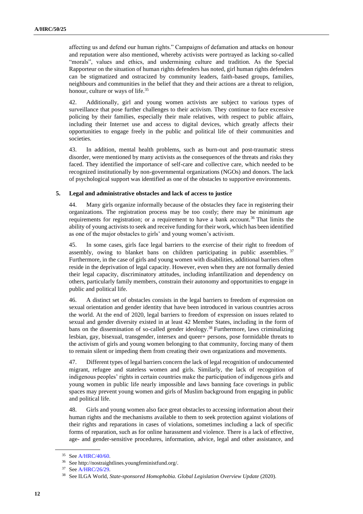affecting us and defend our human rights." Campaigns of defamation and attacks on honour and reputation were also mentioned, whereby activists were portrayed as lacking so-called "morals", values and ethics, and undermining culture and tradition. As the Special Rapporteur on the situation of human rights defenders has noted, girl human rights defenders can be stigmatized and ostracized by community leaders, faith-based groups, families, neighbours and communities in the belief that they and their actions are a threat to religion, honour, culture or ways of life.<sup>35</sup>

42. Additionally, girl and young women activists are subject to various types of surveillance that pose further challenges to their activism. They continue to face excessive policing by their families, especially their male relatives, with respect to public affairs, including their Internet use and access to digital devices, which greatly affects their opportunities to engage freely in the public and political life of their communities and societies.

43. In addition, mental health problems, such as burn-out and post-traumatic stress disorder, were mentioned by many activists as the consequences of the threats and risks they faced. They identified the importance of self-care and collective care, which needed to be recognized institutionally by non-governmental organizations (NGOs) and donors. The lack of psychological support was identified as one of the obstacles to supportive environments.

### **5. Legal and administrative obstacles and lack of access to justice**

44. Many girls organize informally because of the obstacles they face in registering their organizations. The registration process may be too costly; there may be minimum age requirements for registration; or a requirement to have a bank account.<sup>36</sup> That limits the ability of young activists to seek and receive funding for their work, which has been identified as one of the major obstacles to girls' and young women's activism.

45. In some cases, girls face legal barriers to the exercise of their right to freedom of assembly, owing to blanket bans on children participating in public assemblies. 37 Furthermore, in the case of girls and young women with disabilities, additional barriers often reside in the deprivation of legal capacity. However, even when they are not formally denied their legal capacity, discriminatory attitudes, including infantilization and dependency on others, particularly family members, constrain their autonomy and opportunities to engage in public and political life.

46. A distinct set of obstacles consists in the legal barriers to freedom of expression on sexual orientation and gender identity that have been introduced in various countries across the world. At the end of 2020, legal barriers to freedom of expression on issues related to sexual and gender diversity existed in at least 42 Member States, including in the form of bans on the dissemination of so-called gender ideology.<sup>38</sup> Furthermore, laws criminalizing lesbian, gay, bisexual, transgender, intersex and queer+ persons, pose formidable threats to the activism of girls and young women belonging to that community, forcing many of them to remain silent or impeding them from creating their own organizations and movements.

47. Different types of legal barriers concern the lack of legal recognition of undocumented migrant, refugee and stateless women and girls. Similarly, the lack of recognition of indigenous peoples' rights in certain countries make the participation of indigenous girls and young women in public life nearly impossible and laws banning face coverings in public spaces may prevent young women and girls of Muslim background from engaging in public and political life.

48. Girls and young women also face great obstacles to accessing information about their human rights and the mechanisms available to them to seek protection against violations of their rights and reparations in cases of violations, sometimes including a lack of specific forms of reparation, such as for online harassment and violence. There is a lack of effective, age- and gender-sensitive procedures, information, advice, legal and other assistance, and

<sup>35</sup> Se[e A/HRC/40/60.](https://undocs.org/en/A/HRC/40/60)

<sup>36</sup> See http://nostraightlines.youngfeministfund.org/.

<sup>37</sup> Se[e A/HRC/26/29.](https://undocs.org/en/A/HRC/26/29)

<sup>38</sup> See ILGA World, *State-sponsored Homophobia. Global Legislation Overview Update* (2020).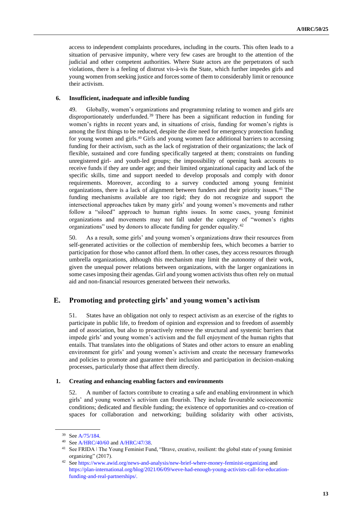access to independent complaints procedures, including in the courts. This often leads to a situation of pervasive impunity, where very few cases are brought to the attention of the judicial and other competent authorities. Where State actors are the perpetrators of such violations, there is a feeling of distrust vis-à-vis the State, which further impedes girls and young women from seeking justice and forces some of them to considerably limit or renounce their activism.

### **6. Insufficient, inadequate and inflexible funding**

49. Globally, women's organizations and programming relating to women and girls are disproportionately underfunded.<sup>39</sup> There has been a significant reduction in funding for women's rights in recent years and, in situations of crisis, funding for women's rights is among the first things to be reduced, despite the dire need for emergency protection funding for young women and girls.<sup>40</sup> Girls and young women face additional barriers to accessing funding for their activism, such as the lack of registration of their organizations; the lack of flexible, sustained and core funding specifically targeted at them; constraints on funding unregistered girl- and youth-led groups; the impossibility of opening bank accounts to receive funds if they are under age; and their limited organizational capacity and lack of the specific skills, time and support needed to develop proposals and comply with donor requirements. Moreover, according to a survey conducted among young feminist organizations, there is a lack of alignment between funders and their priority issues.<sup>41</sup> The funding mechanisms available are too rigid; they do not recognize and support the intersectional approaches taken by many girls' and young women's movements and rather follow a "siloed" approach to human rights issues. In some cases, young feminist organizations and movements may not fall under the category of "women's rights organizations" used by donors to allocate funding for gender equality.<sup>42</sup>

50. As a result, some girls' and young women's organizations draw their resources from self-generated activities or the collection of membership fees, which becomes a barrier to participation for those who cannot afford them. In other cases, they access resources through umbrella organizations, although this mechanism may limit the autonomy of their work, given the unequal power relations between organizations, with the larger organizations in some cases imposing their agendas. Girl and young women activists thus often rely on mutual aid and non-financial resources generated between their networks.

## **E. Promoting and protecting girls' and young women's activism**

51. States have an obligation not only to respect activism as an exercise of the rights to participate in public life, to freedom of opinion and expression and to freedom of assembly and of association, but also to proactively remove the structural and systemic barriers that impede girls' and young women's activism and the full enjoyment of the human rights that entails. That translates into the obligations of States and other actors to ensure an enabling environment for girls' and young women's activism and create the necessary frameworks and policies to promote and guarantee their inclusion and participation in decision-making processes, particularly those that affect them directly.

### **1. Creating and enhancing enabling factors and environments**

52. A number of factors contribute to creating a safe and enabling environment in which girls' and young women's activism can flourish. They include favourable socioeconomic conditions; dedicated and flexible funding; the existence of opportunities and co-creation of spaces for collaboration and networking; building solidarity with other activists,

<sup>39</sup> Se[e A/75/184.](https://undocs.org/en/A/75/184)

<sup>40</sup> Se[e A/HRC/40/60](https://undocs.org/en/A/HRC/40/60) and [A/HRC/47/38.](https://undocs.org/en/A/HRC/47/38)

<sup>&</sup>lt;sup>41</sup> See FRIDA | The Young Feminist Fund, "Brave, creative, resilient: the global state of young feminist organizing" (2017).

<sup>42</sup> Se[e https://www.awid.org/news-and-analysis/new-brief-where-money-feminist-organizing](https://www.awid.org/news-and-analysis/new-brief-where-money-feminist-organizing) and [https://plan-international.org/blog/2021/06/09/weve-had-enough-young-activists-call-for-education](https://plan-international.org/blog/2021/06/09/weve-had-enough-young-activists-call-for-education-funding-and-real-partnerships/)[funding-and-real-partnerships/.](https://plan-international.org/blog/2021/06/09/weve-had-enough-young-activists-call-for-education-funding-and-real-partnerships/)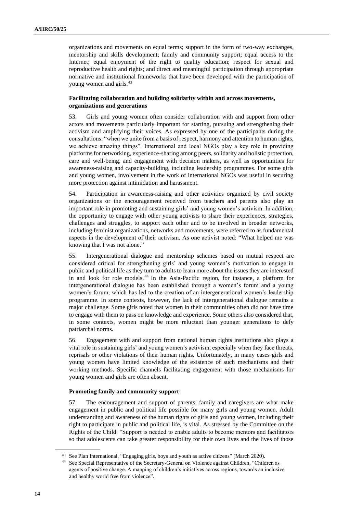organizations and movements on equal terms; support in the form of two-way exchanges, mentorship and skills development; family and community support; equal access to the Internet; equal enjoyment of the right to quality education; respect for sexual and reproductive health and rights; and direct and meaningful participation through appropriate normative and institutional frameworks that have been developed with the participation of young women and girls.<sup>43</sup>

## **Facilitating collaboration and building solidarity within and across movements, organizations and generations**

53. Girls and young women often consider collaboration with and support from other actors and movements particularly important for starting, pursuing and strengthening their activism and amplifying their voices. As expressed by one of the participants during the consultations: "when we unite from a basis of respect, harmony and attention to human rights, we achieve amazing things". International and local NGOs play a key role in providing platforms for networking, experience-sharing among peers, solidarity and holistic protection, care and well-being, and engagement with decision makers, as well as opportunities for awareness-raising and capacity-building, including leadership programmes. For some girls and young women, involvement in the work of international NGOs was useful in securing more protection against intimidation and harassment.

54. Participation in awareness-raising and other activities organized by civil society organizations or the encouragement received from teachers and parents also play an important role in promoting and sustaining girls' and young women's activism. In addition, the opportunity to engage with other young activists to share their experiences, strategies, challenges and struggles, to support each other and to be involved in broader networks, including feminist organizations, networks and movements, were referred to as fundamental aspects in the development of their activism. As one activist noted: "What helped me was knowing that I was not alone."

55. Intergenerational dialogue and mentorship schemes based on mutual respect are considered critical for strengthening girls' and young women's motivation to engage in public and political life as they turn to adults to learn more about the issues they are interested in and look for role models. <sup>44</sup> In the Asia-Pacific region, for instance, a platform for intergenerational dialogue has been established through a women's forum and a young women's forum, which has led to the creation of an intergenerational women's leadership programme. In some contexts, however, the lack of intergenerational dialogue remains a major challenge. Some girls noted that women in their communities often did not have time to engage with them to pass on knowledge and experience. Some others also considered that, in some contexts, women might be more reluctant than younger generations to defy patriarchal norms.

56. Engagement with and support from national human rights institutions also plays a vital role in sustaining girls' and young women's activism, especially when they face threats, reprisals or other violations of their human rights. Unfortunately, in many cases girls and young women have limited knowledge of the existence of such mechanisms and their working methods. Specific channels facilitating engagement with those mechanisms for young women and girls are often absent.

### **Promoting family and community support**

57. The encouragement and support of parents, family and caregivers are what make engagement in public and political life possible for many girls and young women. Adult understanding and awareness of the human rights of girls and young women, including their right to participate in public and political life, is vital. As stressed by the Committee on the Rights of the Child: "Support is needed to enable adults to become mentors and facilitators so that adolescents can take greater responsibility for their own lives and the lives of those

<sup>43</sup> See Plan International, "Engaging girls, boys and youth as active citizens" (March 2020).

See Special Representative of the Secretary-General on Violence against Children, "Children as agents of positive change. A mapping of children's initiatives across regions, towards an inclusive and healthy world free from violence".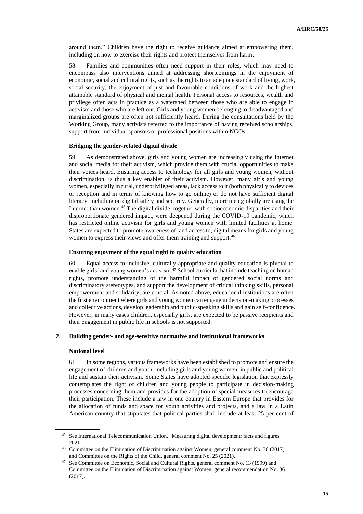around them." Children have the right to receive guidance aimed at empowering them, including on how to exercise their rights and protect themselves from harm.

58. Families and communities often need support in their roles, which may need to encompass also interventions aimed at addressing shortcomings in the enjoyment of economic, social and cultural rights, such as the rights to an adequate standard of living, work, social security, the enjoyment of just and favourable conditions of work and the highest attainable standard of physical and mental health. Personal access to resources, wealth and privilege often acts in practice as a watershed between those who are able to engage in activism and those who are left out. Girls and young women belonging to disadvantaged and marginalized groups are often not sufficiently heard. During the consultations held by the Working Group, many activists referred to the importance of having received scholarships, support from individual sponsors or professional positions within NGOs.

#### **Bridging the gender-related digital divide**

59. As demonstrated above, girls and young women are increasingly using the Internet and social media for their activism, which provide them with crucial opportunities to make their voices heard. Ensuring access to technology for all girls and young women, without discrimination, is thus a key enabler of their activism. However, many girls and young women, especially in rural, underprivileged areas, lack access to it (both physically to devices or reception and in terms of knowing how to go online) or do not have sufficient digital literacy, including on digital safety and security. Generally, more men globally are using the Internet than women.<sup>45</sup> The digital divide, together with socioeconomic disparities and their disproportionate gendered impact, were deepened during the COVID-19 pandemic, which has restricted online activism for girls and young women with limited facilities at home. States are expected to promote awareness of, and access to, digital means for girls and young women to express their views and offer them training and support.<sup>46</sup>

#### **Ensuring enjoyment of the equal right to quality education**

60. Equal access to inclusive, culturally appropriate and quality education is pivotal to enable girls' and young women's activism.<sup>47</sup> School curricula that include teaching on human rights, promote understanding of the harmful impact of gendered social norms and discriminatory stereotypes, and support the development of critical thinking skills, personal empowerment and solidarity, are crucial. As noted above, educational institutions are often the first environment where girls and young women can engage in decision-making processes and collective actions, develop leadership and public-speaking skills and gain self-confidence. However, in many cases children, especially girls, are expected to be passive recipients and their engagement in public life in schools is not supported.

### **2. Building gender- and age-sensitive normative and institutional frameworks**

#### **National level**

61. In some regions, various frameworks have been established to promote and ensure the engagement of children and youth, including girls and young women, in public and political life and sustain their activism. Some States have adopted specific legislation that expressly contemplates the right of children and young people to participate in decision-making processes concerning them and provides for the adoption of special measures to encourage their participation. These include a law in one country in Eastern Europe that provides for the allocation of funds and space for youth activities and projects, and a law in a Latin American country that stipulates that political parties shall include at least 25 per cent of

<sup>45</sup> See International Telecommunication Union, "Measuring digital development: facts and figures 2021".

<sup>46</sup> Committee on the Elimination of Discrimination against Women, general comment No. 36 (2017) and Committee on the Rights of the Child, general comment No. 25 (2021).

See Committee on Economic, Social and Cultural Rights, general comment No. 13 (1999) and Committee on the Elimination of Discrimination against Women, general recommendation No. 36 (2017).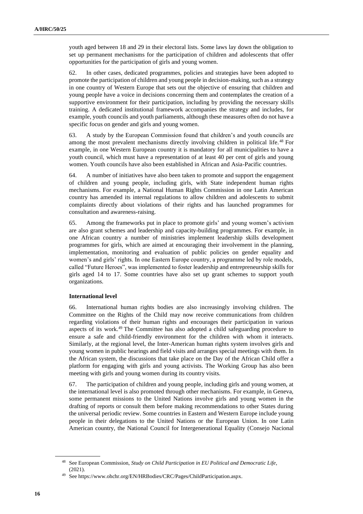youth aged between 18 and 29 in their electoral lists. Some laws lay down the obligation to set up permanent mechanisms for the participation of children and adolescents that offer opportunities for the participation of girls and young women.

62. In other cases, dedicated programmes, policies and strategies have been adopted to promote the participation of children and young people in decision-making, such as a strategy in one country of Western Europe that sets out the objective of ensuring that children and young people have a voice in decisions concerning them and contemplates the creation of a supportive environment for their participation, including by providing the necessary skills training. A dedicated institutional framework accompanies the strategy and includes, for example, youth councils and youth parliaments, although these measures often do not have a specific focus on gender and girls and young women.

63. A study by the European Commission found that children's and youth councils are among the most prevalent mechanisms directly involving children in political life.<sup>48</sup> For example, in one Western European country it is mandatory for all municipalities to have a youth council, which must have a representation of at least 40 per cent of girls and young women. Youth councils have also been established in African and Asia-Pacific countries.

64. A number of initiatives have also been taken to promote and support the engagement of children and young people, including girls, with State independent human rights mechanisms. For example, a National Human Rights Commission in one Latin American country has amended its internal regulations to allow children and adolescents to submit complaints directly about violations of their rights and has launched programmes for consultation and awareness-raising.

65. Among the frameworks put in place to promote girls' and young women's activism are also grant schemes and leadership and capacity-building programmes. For example, in one African country a number of ministries implement leadership skills development programmes for girls, which are aimed at encouraging their involvement in the planning, implementation, monitoring and evaluation of public policies on gender equality and women's and girls' rights. In one Eastern Europe country, a programme led by role models, called "Future Heroes", was implemented to foster leadership and entrepreneurship skills for girls aged 14 to 17. Some countries have also set up grant schemes to support youth organizations.

### **International level**

66. International human rights bodies are also increasingly involving children. The Committee on the Rights of the Child may now receive communications from children regarding violations of their human rights and encourages their participation in various aspects of its work.<sup>49</sup> The Committee has also adopted a child safeguarding procedure to ensure a safe and child-friendly environment for the children with whom it interacts. Similarly, at the regional level, the Inter-American human rights system involves girls and young women in public hearings and field visits and arranges special meetings with them. In the African system, the discussions that take place on the Day of the African Child offer a platform for engaging with girls and young activists. The Working Group has also been meeting with girls and young women during its country visits.

67. The participation of children and young people, including girls and young women, at the international level is also promoted through other mechanisms. For example, in Geneva, some permanent missions to the United Nations involve girls and young women in the drafting of reports or consult them before making recommendations to other States during the universal periodic review. Some countries in Eastern and Western Europe include young people in their delegations to the United Nations or the European Union. In one Latin American country, the National Council for Intergenerational Equality (Consejo Nacional

<sup>48</sup> See European Commission, *Study on Child Participation in EU Political and Democratic Life*, (2021).

<sup>49</sup> See https://www.ohchr.org/EN/HRBodies/CRC/Pages/ChildParticipation.aspx.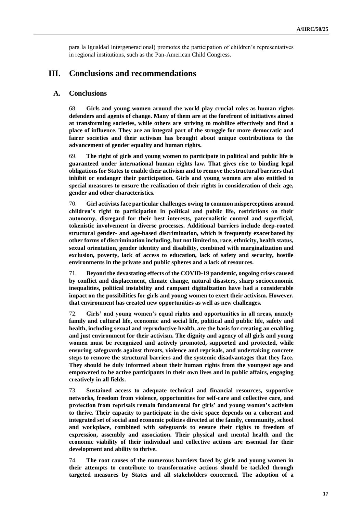para la Igualdad Intergeneracional) promotes the participation of children's representatives in regional institutions, such as the Pan-American Child Congress.

# **III. Conclusions and recommendations**

## **A. Conclusions**

68. **Girls and young women around the world play crucial roles as human rights defenders and agents of change. Many of them are at the forefront of initiatives aimed at transforming societies, while others are striving to mobilize effectively and find a place of influence. They are an integral part of the struggle for more democratic and fairer societies and their activism has brought about unique contributions to the advancement of gender equality and human rights.**

69. **The right of girls and young women to participate in political and public life is guaranteed under international human rights law. That gives rise to binding legal obligations for States to enable their activism and to remove the structural barriers that inhibit or endanger their participation. Girls and young women are also entitled to special measures to ensure the realization of their rights in consideration of their age, gender and other characteristics.** 

70. **Girl activists face particular challenges owing to common misperceptions around children's right to participation in political and public life, restrictions on their autonomy, disregard for their best interests, paternalistic control and superficial, tokenistic involvement in diverse processes. Additional barriers include deep-rooted structural gender- and age-based discrimination, which is frequently exacerbated by other forms of discrimination including, but not limited to, race, ethnicity, health status, sexual orientation, gender identity and disability, combined with marginalization and exclusion, poverty, lack of access to education, lack of safety and security, hostile environments in the private and public spheres and a lack of resources.** 

71. **Beyond the devastating effects of the COVID-19 pandemic, ongoing crises caused by conflict and displacement, climate change, natural disasters, sharp socioeconomic inequalities, political instability and rampant digitalization have had a considerable impact on the possibilities for girls and young women to exert their activism. However. that environment has created new opportunities as well as new challenges.** 

72. **Girls' and young women's equal rights and opportunities in all areas, namely family and cultural life, economic and social life, political and public life, safety and health, including sexual and reproductive health, are the basis for creating an enabling and just environment for their activism. The dignity and agency of all girls and young women must be recognized and actively promoted, supported and protected, while ensuring safeguards against threats, violence and reprisals, and undertaking concrete steps to remove the structural barriers and the systemic disadvantages that they face. They should be duly informed about their human rights from the youngest age and empowered to be active participants in their own lives and in public affairs, engaging creatively in all fields.** 

73. **Sustained access to adequate technical and financial resources, supportive networks, freedom from violence, opportunities for self-care and collective care, and protection from reprisals remain fundamental for girls' and young women's activism to thrive. Their capacity to participate in the civic space depends on a coherent and integrated set of social and economic policies directed at the family, community, school and workplace, combined with safeguards to ensure their rights to freedom of expression, assembly and association. Their physical and mental health and the economic viability of their individual and collective actions are essential for their development and ability to thrive.** 

74. **The root causes of the numerous barriers faced by girls and young women in their attempts to contribute to transformative actions should be tackled through targeted measures by States and all stakeholders concerned. The adoption of a**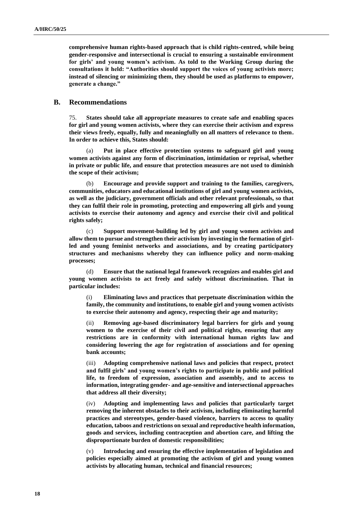**comprehensive human rights-based approach that is child rights-centred, while being gender-responsive and intersectional is crucial to ensuring a sustainable environment for girls' and young women's activism. As told to the Working Group during the consultations it held: "Authorities should support the voices of young activists more; instead of silencing or minimizing them, they should be used as platforms to empower, generate a change."**

### **B. Recommendations**

75. **States should take all appropriate measures to create safe and enabling spaces for girl and young women activists, where they can exercise their activism and express their views freely, equally, fully and meaningfully on all matters of relevance to them. In order to achieve this, States should:**

(a) **Put in place effective protection systems to safeguard girl and young women activists against any form of discrimination, intimidation or reprisal, whether in private or public life, and ensure that protection measures are not used to diminish the scope of their activism;**

(b) **Encourage and provide support and training to the families, caregivers, communities, educators and educational institutions of girl and young women activists, as well as the judiciary, government officials and other relevant professionals, so that they can fulfil their role in promoting, protecting and empowering all girls and young activists to exercise their autonomy and agency and exercise their civil and political rights safely;**

(c) **Support movement-building led by girl and young women activists and allow them to pursue and strengthen their activism by investing in the formation of girlled and young feminist networks and associations, and by creating participatory structures and mechanisms whereby they can influence policy and norm-making processes;** 

(d) **Ensure that the national legal framework recognizes and enables girl and young women activists to act freely and safely without discrimination. That in particular includes:** 

(i) **Eliminating laws and practices that perpetuate discrimination within the family, the community and institutions, to enable girl and young women activists to exercise their autonomy and agency, respecting their age and maturity;**

(ii) **Removing age-based discriminatory legal barriers for girls and young women to the exercise of their civil and political rights, ensuring that any restrictions are in conformity with international human rights law and considering lowering the age for registration of associations and for opening bank accounts;** 

(iii) **Adopting comprehensive national laws and policies that respect, protect and fulfil girls' and young women's rights to participate in public and political life, to freedom of expression, association and assembly, and to access to information, integrating gender- and age-sensitive and intersectional approaches that address all their diversity;** 

(iv) **Adopting and implementing laws and policies that particularly target removing the inherent obstacles to their activism, including eliminating harmful practices and stereotypes, gender-based violence, barriers to access to quality education, taboos and restrictions on sexual and reproductive health information, goods and services, including contraception and abortion care, and lifting the disproportionate burden of domestic responsibilities;** 

(v) **Introducing and ensuring the effective implementation of legislation and policies especially aimed at promoting the activism of girl and young women activists by allocating human, technical and financial resources;**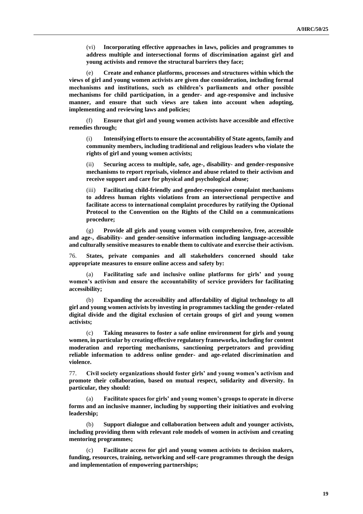(vi) **Incorporating effective approaches in laws, policies and programmes to address multiple and intersectional forms of discrimination against girl and young activists and remove the structural barriers they face;** 

(e) **Create and enhance platforms, processes and structures within which the views of girl and young women activists are given due consideration, including formal mechanisms and institutions, such as children's parliaments and other possible mechanisms for child participation, in a gender- and age-responsive and inclusive manner, and ensure that such views are taken into account when adopting, implementing and reviewing laws and policies;**

(f) **Ensure that girl and young women activists have accessible and effective remedies through;**

(i) **Intensifying efforts to ensure the accountability of State agents, family and community members, including traditional and religious leaders who violate the rights of girl and young women activists;**

(ii) **Securing access to multiple, safe, age-, disability- and gender-responsive mechanisms to report reprisals, violence and abuse related to their activism and receive support and care for physical and psychological abuse;**

(iii) **Facilitating child-friendly and gender-responsive complaint mechanisms to address human rights violations from an intersectional perspective and facilitate access to international complaint procedures by ratifying the Optional Protocol to the Convention on the Rights of the Child on a communications procedure;**

(g) **Provide all girls and young women with comprehensive, free, accessible and age-, disability- and gender-sensitive information including language-accessible and culturally sensitive measures to enable them to cultivate and exercise their activism.** 

76. **States, private companies and all stakeholders concerned should take appropriate measures to ensure online access and safety by:**

(a) **Facilitating safe and inclusive online platforms for girls' and young women's activism and ensure the accountability of service providers for facilitating accessibility;** 

(b) **Expanding the accessibility and affordability of digital technology to all girl and young women activists by investing in programmes tackling the gender-related digital divide and the digital exclusion of certain groups of girl and young women activists;**

(c) **Taking measures to foster a safe online environment for girls and young women, in particular by creating effective regulatory frameworks, including for content moderation and reporting mechanisms, sanctioning perpetrators and providing reliable information to address online gender- and age-related discrimination and violence.**

77. **Civil society organizations should foster girls' and young women's activism and promote their collaboration, based on mutual respect, solidarity and diversity. In particular, they should:**

(a) **Facilitate spaces for girls' and young women's groups to operate in diverse forms and an inclusive manner, including by supporting their initiatives and evolving leadership;**

(b) **Support dialogue and collaboration between adult and younger activists, including providing them with relevant role models of women in activism and creating mentoring programmes;** 

Facilitate access for girl and young women activists to decision makers, **funding, resources, training, networking and self-care programmes through the design and implementation of empowering partnerships;**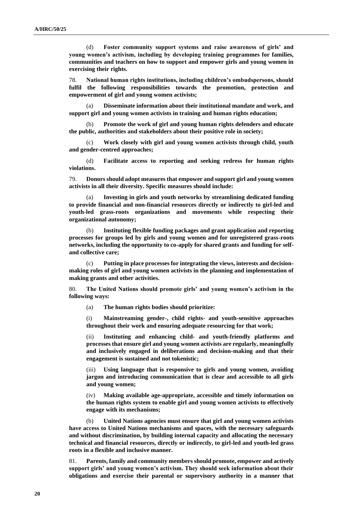(d) **Foster community support systems and raise awareness of girls' and young women's activism, including by developing training programmes for families, communities and teachers on how to support and empower girls and young women in exercising their rights.**

78. **National human rights institutions, including children's ombudspersons, should fulfil the following responsibilities towards the promotion, protection and empowerment of girl and young women activists;**

(a) **Disseminate information about their institutional mandate and work, and support girl and young women activists in training and human rights education;**

(b) **Promote the work of girl and young human rights defenders and educate the public, authorities and stakeholders about their positive role in society;**

(c) **Work closely with girl and young women activists through child, youth and gender-centred approaches;** 

(d) **Facilitate access to reporting and seeking redress for human rights violations.** 

79. **Donors should adopt measures that empower and support girl and young women activists in all their diversity. Specific measures should include:**

(a) **Investing in girls and youth networks by streamlining dedicated funding to provide financial and non-financial resources directly or indirectly to girl-led and youth-led grass-roots organizations and movements while respecting their organizational autonomy;**

(b) **Instituting flexible funding packages and grant application and reporting processes for groups led by girls and young women and for unregistered grass-roots networks, including the opportunity to co-apply for shared grants and funding for selfand collective care;**

(c) **Putting in place processes for integrating the views, interests and decisionmaking roles of girl and young women activists in the planning and implementation of making grants and other activities.**

80. **The United Nations should promote girls' and young women's activism in the following ways:** 

(a) **The human rights bodies should prioritize:**

(i) **Mainstreaming gender-, child rights- and youth-sensitive approaches throughout their work and ensuring adequate resourcing for that work;** 

(ii) **Instituting and enhancing child- and youth-friendly platforms and processes that ensure girl and young women activists are regularly, meaningfully and inclusively engaged in deliberations and decision-making and that their engagement is sustained and not tokenistic;**

Using language that is responsive to girls and young women, avoiding **jargon and introducing communication that is clear and accessible to all girls and young women;**

(iv) **Making available age-appropriate, accessible and timely information on the human rights system to enable girl and young women activists to effectively engage with its mechanisms;** 

(b) **United Nations agencies must ensure that girl and young women activists have access to United Nations mechanisms and spaces, with the necessary safeguards and without discrimination, by building internal capacity and allocating the necessary technical and financial resources, directly or indirectly, to girl-led and youth-led grass roots in a flexible and inclusive manner.**

81. **Parents, family and community members should promote, empower and actively support girls' and young women's activism. They should seek information about their obligations and exercise their parental or supervisory authority in a manner that**